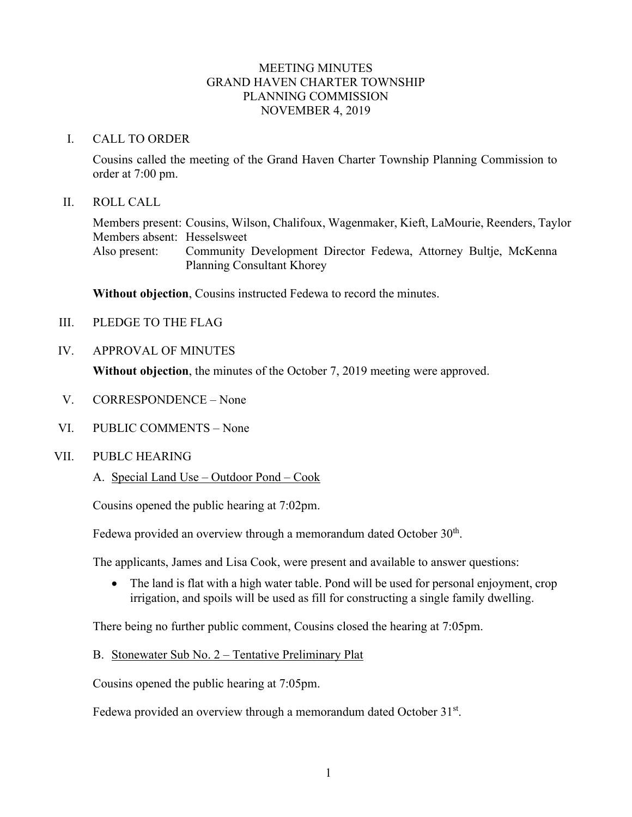### MEETING MINUTES GRAND HAVEN CHARTER TOWNSHIP PLANNING COMMISSION NOVEMBER 4, 2019

#### I. CALL TO ORDER

Cousins called the meeting of the Grand Haven Charter Township Planning Commission to order at 7:00 pm.

#### II. ROLL CALL

Members present: Cousins, Wilson, Chalifoux, Wagenmaker, Kieft, LaMourie, Reenders, Taylor Members absent: Hesselsweet Also present: Community Development Director Fedewa, Attorney Bultje, McKenna Planning Consultant Khorey

**Without objection**, Cousins instructed Fedewa to record the minutes.

- III. PLEDGE TO THE FLAG
- IV. APPROVAL OF MINUTES

**Without objection**, the minutes of the October 7, 2019 meeting were approved.

- V. CORRESPONDENCE None
- VI. PUBLIC COMMENTS None
- VII. PUBLC HEARING
	- A. Special Land Use Outdoor Pond Cook

Cousins opened the public hearing at 7:02pm.

Fedewa provided an overview through a memorandum dated October  $30<sup>th</sup>$ .

The applicants, James and Lisa Cook, were present and available to answer questions:

• The land is flat with a high water table. Pond will be used for personal enjoyment, crop irrigation, and spoils will be used as fill for constructing a single family dwelling.

There being no further public comment, Cousins closed the hearing at 7:05pm.

B. Stonewater Sub No. 2 – Tentative Preliminary Plat

Cousins opened the public hearing at 7:05pm.

Fedewa provided an overview through a memorandum dated October 31<sup>st</sup>.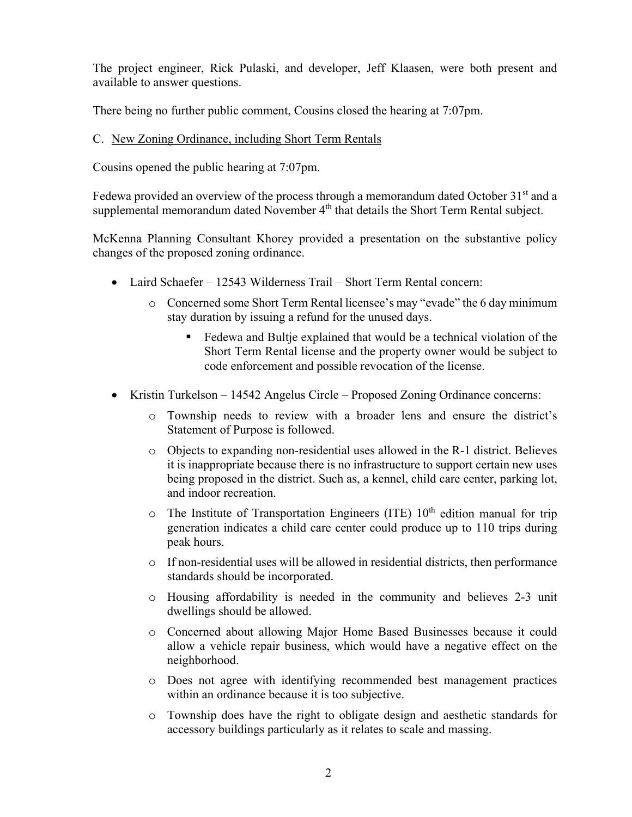The project engineer, Rick Pulaski, and developer, Jeff Klaasen, were both present and available to answer questions.

There being no further public comment, Cousins closed the hearing at 7:07pm.

# C. New Zoning Ordinance, including Short Term Rentals

Cousins opened the public hearing at 7:07pm.

Fedewa provided an overview of the process through a memorandum dated October  $31<sup>st</sup>$  and a supplemental memorandum dated November 4<sup>th</sup> that details the Short Term Rental subject.

McKenna Planning Consultant Khorey provided a presentation on the substantive policy changes of the proposed zoning ordinance.

- Laird Schaefer 12543 Wilderness Trail Short Term Rental concern:
	- o Concerned some Short Term Rental licensee's may "evade" the 6 day minimum stay duration by issuing a refund for the unused days.
		- Fedewa and Bultje explained that would be a technical violation of the Short Term Rental license and the property owner would be subject to code enforcement and possible revocation of the license.
- Kristin Turkelson 14542 Angelus Circle Proposed Zoning Ordinance concerns:
	- o Township needs to review with a broader lens and ensure the district's Statement of Purpose is followed.
	- o Objects to expanding non-residential uses allowed in the R-1 district. Believes it is inappropriate because there is no infrastructure to support certain new uses being proposed in the district. Such as, a kennel, child care center, parking lot, and indoor recreation.
	- $\circ$  The Institute of Transportation Engineers (ITE) 10<sup>th</sup> edition manual for trip generation indicates a child care center could produce up to 110 trips during peak hours.
	- $\circ$  If non-residential uses will be allowed in residential districts, then performance standards should be incorporated.
	- o Housing affordability is needed in the community and believes 2-3 unit dwellings should be allowed.
	- o Concerned about allowing Major Home Based Businesses because it could allow a vehicle repair business, which would have a negative effect on the neighborhood.
	- o Does not agree with identifying recommended best management practices within an ordinance because it is too subjective.
	- o Township does have the right to obligate design and aesthetic standards for accessory buildings particularly as it relates to scale and massing.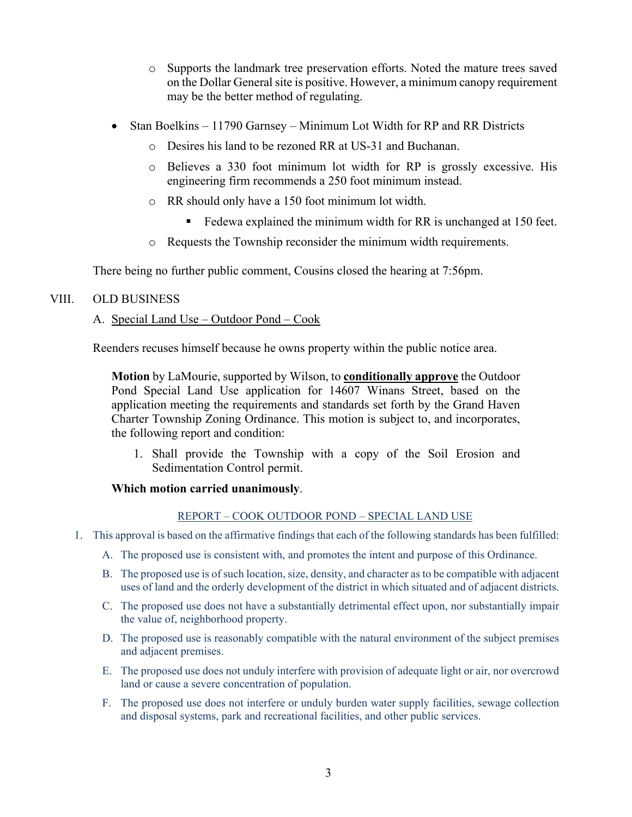- o Supports the landmark tree preservation efforts. Noted the mature trees saved on the Dollar General site is positive. However, a minimum canopy requirement may be the better method of regulating.
- Stan Boelkins 11790 Garnsey Minimum Lot Width for RP and RR Districts
	- o Desires his land to be rezoned RR at US-31 and Buchanan.
	- o Believes a 330 foot minimum lot width for RP is grossly excessive. His engineering firm recommends a 250 foot minimum instead.
	- o RR should only have a 150 foot minimum lot width.
		- Exercise Fedewa explained the minimum width for RR is unchanged at 150 feet.
	- o Requests the Township reconsider the minimum width requirements.

There being no further public comment, Cousins closed the hearing at 7:56pm.

## VIII. OLD BUSINESS

## A. Special Land Use – Outdoor Pond – Cook

Reenders recuses himself because he owns property within the public notice area.

**Motion** by LaMourie, supported by Wilson, to **conditionally approve** the Outdoor Pond Special Land Use application for 14607 Winans Street, based on the application meeting the requirements and standards set forth by the Grand Haven Charter Township Zoning Ordinance. This motion is subject to, and incorporates, the following report and condition:

1. Shall provide the Township with a copy of the Soil Erosion and Sedimentation Control permit.

#### **Which motion carried unanimously**.

#### REPORT – COOK OUTDOOR POND – SPECIAL LAND USE

- 1. This approval is based on the affirmative findings that each of the following standards has been fulfilled:
	- A. The proposed use is consistent with, and promotes the intent and purpose of this Ordinance.
	- B. The proposed use is of such location, size, density, and character as to be compatible with adjacent uses of land and the orderly development of the district in which situated and of adjacent districts.
	- C. The proposed use does not have a substantially detrimental effect upon, nor substantially impair the value of, neighborhood property.
	- D. The proposed use is reasonably compatible with the natural environment of the subject premises and adjacent premises.
	- E. The proposed use does not unduly interfere with provision of adequate light or air, nor overcrowd land or cause a severe concentration of population.
	- F. The proposed use does not interfere or unduly burden water supply facilities, sewage collection and disposal systems, park and recreational facilities, and other public services.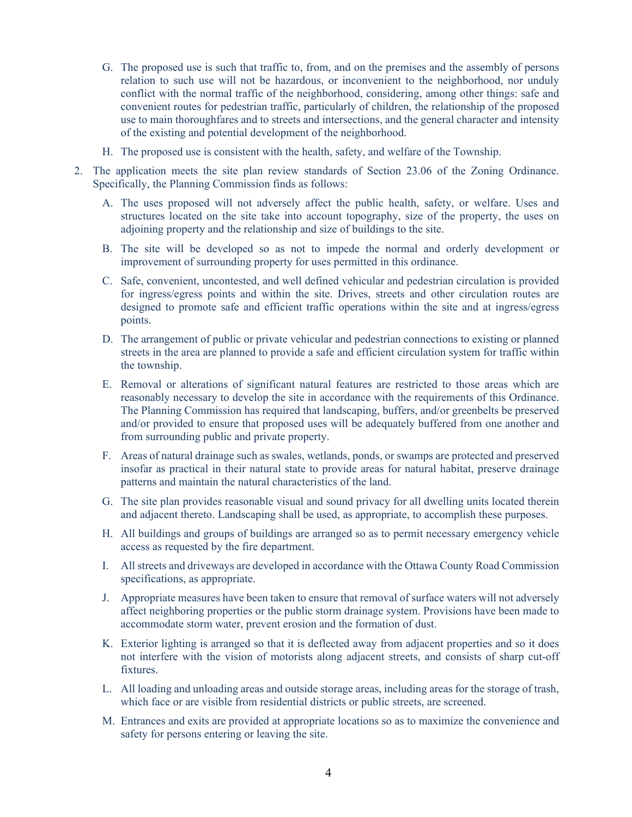- G. The proposed use is such that traffic to, from, and on the premises and the assembly of persons relation to such use will not be hazardous, or inconvenient to the neighborhood, nor unduly conflict with the normal traffic of the neighborhood, considering, among other things: safe and convenient routes for pedestrian traffic, particularly of children, the relationship of the proposed use to main thoroughfares and to streets and intersections, and the general character and intensity of the existing and potential development of the neighborhood.
- H. The proposed use is consistent with the health, safety, and welfare of the Township.
- 2. The application meets the site plan review standards of Section 23.06 of the Zoning Ordinance. Specifically, the Planning Commission finds as follows:
	- A. The uses proposed will not adversely affect the public health, safety, or welfare. Uses and structures located on the site take into account topography, size of the property, the uses on adjoining property and the relationship and size of buildings to the site.
	- B. The site will be developed so as not to impede the normal and orderly development or improvement of surrounding property for uses permitted in this ordinance.
	- C. Safe, convenient, uncontested, and well defined vehicular and pedestrian circulation is provided for ingress/egress points and within the site. Drives, streets and other circulation routes are designed to promote safe and efficient traffic operations within the site and at ingress/egress points.
	- D. The arrangement of public or private vehicular and pedestrian connections to existing or planned streets in the area are planned to provide a safe and efficient circulation system for traffic within the township.
	- E. Removal or alterations of significant natural features are restricted to those areas which are reasonably necessary to develop the site in accordance with the requirements of this Ordinance. The Planning Commission has required that landscaping, buffers, and/or greenbelts be preserved and/or provided to ensure that proposed uses will be adequately buffered from one another and from surrounding public and private property.
	- F. Areas of natural drainage such as swales, wetlands, ponds, or swamps are protected and preserved insofar as practical in their natural state to provide areas for natural habitat, preserve drainage patterns and maintain the natural characteristics of the land.
	- G. The site plan provides reasonable visual and sound privacy for all dwelling units located therein and adjacent thereto. Landscaping shall be used, as appropriate, to accomplish these purposes.
	- H. All buildings and groups of buildings are arranged so as to permit necessary emergency vehicle access as requested by the fire department.
	- I. All streets and driveways are developed in accordance with the Ottawa County Road Commission specifications, as appropriate.
	- J. Appropriate measures have been taken to ensure that removal of surface waters will not adversely affect neighboring properties or the public storm drainage system. Provisions have been made to accommodate storm water, prevent erosion and the formation of dust.
	- K. Exterior lighting is arranged so that it is deflected away from adjacent properties and so it does not interfere with the vision of motorists along adjacent streets, and consists of sharp cut-off fixtures.
	- L. All loading and unloading areas and outside storage areas, including areas for the storage of trash, which face or are visible from residential districts or public streets, are screened.
	- M. Entrances and exits are provided at appropriate locations so as to maximize the convenience and safety for persons entering or leaving the site.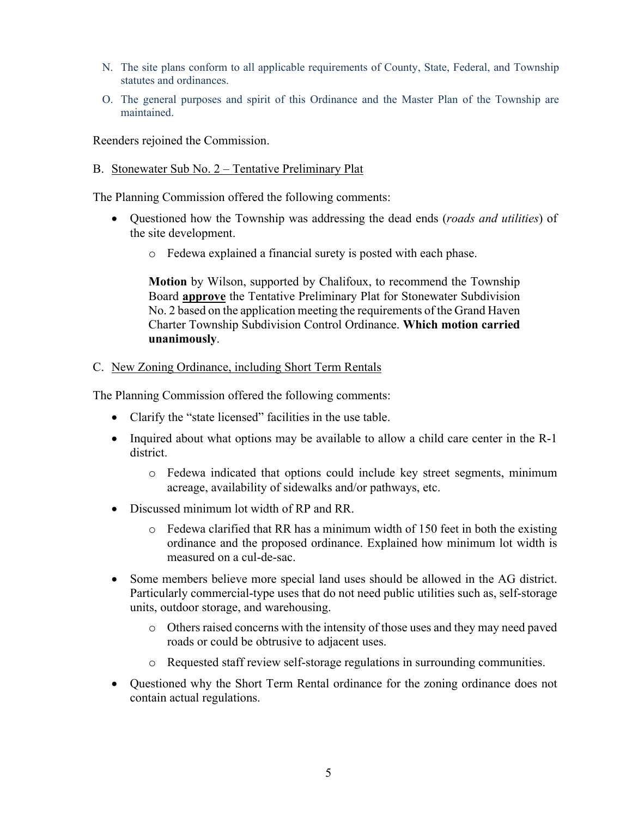- N. The site plans conform to all applicable requirements of County, State, Federal, and Township statutes and ordinances.
- O. The general purposes and spirit of this Ordinance and the Master Plan of the Township are maintained.

Reenders rejoined the Commission.

B. Stonewater Sub No. 2 – Tentative Preliminary Plat

The Planning Commission offered the following comments:

- Questioned how the Township was addressing the dead ends (*roads and utilities*) of the site development.
	- o Fedewa explained a financial surety is posted with each phase.

**Motion** by Wilson, supported by Chalifoux, to recommend the Township Board **approve** the Tentative Preliminary Plat for Stonewater Subdivision No. 2 based on the application meeting the requirements of the Grand Haven Charter Township Subdivision Control Ordinance. **Which motion carried unanimously**.

#### C. New Zoning Ordinance, including Short Term Rentals

The Planning Commission offered the following comments:

- Clarify the "state licensed" facilities in the use table.
- Inquired about what options may be available to allow a child care center in the R-1 district.
	- o Fedewa indicated that options could include key street segments, minimum acreage, availability of sidewalks and/or pathways, etc.
- Discussed minimum lot width of RP and RR.
	- $\circ$  Fedewa clarified that RR has a minimum width of 150 feet in both the existing ordinance and the proposed ordinance. Explained how minimum lot width is measured on a cul-de-sac.
- Some members believe more special land uses should be allowed in the AG district. Particularly commercial-type uses that do not need public utilities such as, self-storage units, outdoor storage, and warehousing.
	- o Others raised concerns with the intensity of those uses and they may need paved roads or could be obtrusive to adjacent uses.
	- o Requested staff review self-storage regulations in surrounding communities.
- Questioned why the Short Term Rental ordinance for the zoning ordinance does not contain actual regulations.